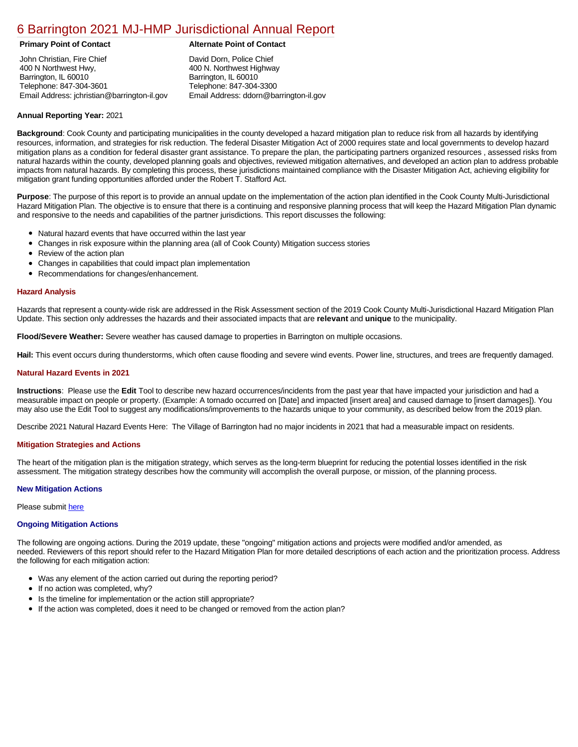# [6 Barrington 2021 MJ-HMP Jurisdictional Annual Report](https://barrington.isc-cemp.com/Cemp/Details?id=8322755)

# **Primary Point of Contact Alternate Point of Contact**

John Christian, Fire Chief 400 N Northwest Hwy, Barrington, IL 60010 Telephone: 847-304-3601 Email Address: jchristian@barrington-il.gov

David Dorn, Police Chief 400 N. Northwest Highway Barrington, IL 60010 Telephone: 847-304-3300 Email Address: ddorn@barrington-il.gov

# **Annual Reporting Year:** 2021

**Background**: Cook County and participating municipalities in the county developed a hazard mitigation plan to reduce risk from all hazards by identifying resources, information, and strategies for risk reduction. The federal Disaster Mitigation Act of 2000 requires state and local governments to develop hazard mitigation plans as a condition for federal disaster grant assistance. To prepare the plan, the participating partners organized resources , assessed risks from natural hazards within the county, developed planning goals and objectives, reviewed mitigation alternatives, and developed an action plan to address probable impacts from natural hazards. By completing this process, these jurisdictions maintained compliance with the Disaster Mitigation Act, achieving eligibility for mitigation grant funding opportunities afforded under the Robert T. Stafford Act.

**Purpose**: The purpose of this report is to provide an annual update on the implementation of the action plan identified in the Cook County Multi-Jurisdictional Hazard Mitigation Plan. The objective is to ensure that there is a continuing and responsive planning process that will keep the Hazard Mitigation Plan dynamic and responsive to the needs and capabilities of the partner jurisdictions. This report discusses the following:

- Natural hazard events that have occurred within the last year
- $\bullet$ Changes in risk exposure within the planning area (all of Cook County) Mitigation success stories
- Review of the action plan  $\bullet$
- $\bullet$ Changes in capabilities that could impact plan implementation
- Recommendations for changes/enhancement.  $\bullet$

### **Hazard Analysis**

Hazards that represent a county-wide risk are addressed in the Risk Assessment section of the 2019 Cook County Multi-Jurisdictional Hazard Mitigation Plan Update. This section only addresses the hazards and their associated impacts that are **relevant** and **unique** to the municipality.

**Flood/Severe Weather:** Severe weather has caused damage to properties in Barrington on multiple occasions.

**Hail:** This event occurs during thunderstorms, which often cause flooding and severe wind events. Power line, structures, and trees are frequently damaged.

### **Natural Hazard Events in 2021**

**Instructions**: Please use the **Edit** Tool to describe new hazard occurrences/incidents from the past year that have impacted your jurisdiction and had a measurable impact on people or property. (Example: A tornado occurred on [Date] and impacted [insert area] and caused damage to [insert damages]). You may also use the Edit Tool to suggest any modifications/improvements to the hazards unique to your community, as described below from the 2019 plan.

Describe 2021 Natural Hazard Events Here: The Village of Barrington had no major incidents in 2021 that had a measurable impact on residents.

#### **Mitigation Strategies and Actions**

The heart of the mitigation plan is the mitigation strategy, which serves as the long-term blueprint for reducing the potential losses identified in the risk assessment. The mitigation strategy describes how the community will accomplish the overall purpose, or mission, of the planning process.

#### **New Mitigation Actions**

Please submit [here](https://integratedsolutions.wufoo.com/forms/mg21jvf0jn639o/)

#### **Ongoing Mitigation Actions**

The following are ongoing actions. During the 2019 update, these "ongoing" mitigation actions and projects were modified and/or amended, as needed. Reviewers of this report should refer to the Hazard Mitigation Plan for more detailed descriptions of each action and the prioritization process. Address the following for each mitigation action:

- Was any element of the action carried out during the reporting period?
- $\bullet$ If no action was completed, why?
- Is the timeline for implementation or the action still appropriate?
- If the action was completed, does it need to be changed or removed from the action plan?  $\bullet$